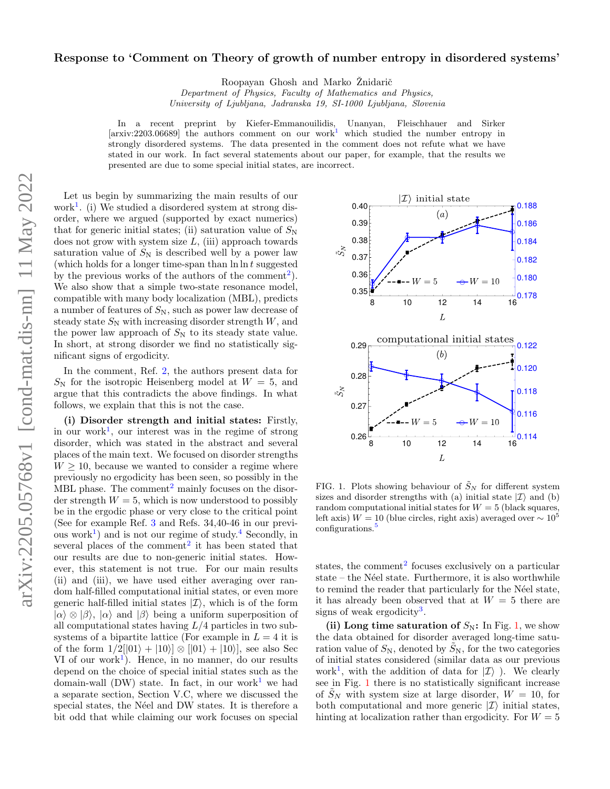Roopayan Ghosh and Marko Žnidarič

Department of Physics, Faculty of Mathematics and Physics,

University of Ljubljana, Jadranska 19, SI-1000 Ljubljana, Slovenia

In a recent preprint by Kiefer-Emmanouilidis, Unanyan, Fleischhauer and Sirker  $[\arxiv:2203.06689]$  the authors comment on our work<sup>[1](#page-2-0)</sup> which studied the number entropy in strongly disordered systems. The data presented in the comment does not refute what we have stated in our work. In fact several statements about our paper, for example, that the results we presented are due to some special initial states, are incorrect.

Let us begin by summarizing the main results of our work<sup>[1](#page-2-0)</sup>. (i) We studied a disordered system at strong disorder, where we argued (supported by exact numerics) that for generic initial states; (ii) saturation value of  $S_N$ does not grow with system size  $L$ , (iii) approach towards saturation value of  $S_N$  is described well by a power law (which holds for a longer time-span than  $\ln \ln t$  suggested by the previous works of the authors of the comment<sup>[2](#page-2-1)</sup>). We also show that a simple two-state resonance model, compatible with many body localization (MBL), predicts a number of features of  $S_N$ , such as power law decrease of steady state  $S_N$  with increasing disorder strength  $W$ , and the power law approach of  $S_N$  to its steady state value. In short, at strong disorder we find no statistically significant signs of ergodicity.

In the comment, Ref. [2,](#page-2-1) the authors present data for  $S_{\rm N}$  for the isotropic Heisenberg model at  $W = 5$ , and argue that this contradicts the above findings. In what follows, we explain that this is not the case.

(i) Disorder strength and initial states: Firstly, in our work<sup>[1](#page-2-0)</sup>, our interest was in the regime of strong disorder, which was stated in the abstract and several places of the main text. We focused on disorder strengths  $W \geq 10$ , because we wanted to consider a regime where previously no ergodicity has been seen, so possibly in the MBL phase. The comment<sup>[2](#page-2-1)</sup> mainly focuses on the disorder strength  $W = 5$ , which is now understood to possibly be in the ergodic phase or very close to the critical point (See for example Ref. [3](#page-2-2) and Refs. 34,40-46 in our previ-ous work<sup>[1](#page-2-0)</sup>) and is not our regime of study.<sup>[4](#page-2-3)</sup> Secondly, in several places of the comment<sup>[2](#page-2-1)</sup> it has been stated that our results are due to non-generic initial states. However, this statement is not true. For our main results (ii) and (iii), we have used either averaging over random half-filled computational initial states, or even more generic half-filled initial states  $|\mathcal{I}\rangle$ , which is of the form  $|\alpha\rangle \otimes |\beta\rangle$ ,  $|\alpha\rangle$  and  $|\beta\rangle$  being a uniform superposition of all computational states having  $L/4$  particles in two subsystems of a bipartite lattice (For example in  $L = 4$  it is of the form  $1/2[|01\rangle + |10\rangle] \otimes |01\rangle + |10\rangle],$  see also Sec  $VI$  of our work<sup>[1](#page-2-0)</sup>). Hence, in no manner, do our results depend on the choice of special initial states such as the domain-wall (DW) state. In fact, in our work<sup>[1](#page-2-0)</sup> we had a separate section, Section V.C, where we discussed the special states, the Néel and DW states. It is therefore a bit odd that while claiming our work focuses on special



<span id="page-0-0"></span>FIG. 1. Plots showing behaviour of  $\tilde{S}_N$  for different system sizes and disorder strengths with (a) initial state  $|\mathcal{I}\rangle$  and (b) random computational initial states for  $W = 5$  (black squares, left axis)  $W = 10$  (blue circles, right axis) averaged over  $\sim 10^5$ configurations.<sup>[5](#page-2-4)</sup>

states, the comment<sup>[2](#page-2-1)</sup> focuses exclusively on a particular  $state - the Néel state. Furthermore, it is also worthwhile.$ to remind the reader that particularly for the Néel state, it has already been observed that at  $W = 5$  there are signs of weak ergodicity<sup>[3](#page-2-2)</sup>.

(ii) Long time saturation of  $S_N$ : In Fig. [1,](#page-0-0) we show the data obtained for disorder averaged long-time saturation value of  $S_N$ , denoted by  $S_N$ , for the two categories of initial states considered (similar data as our previous work<sup>[1](#page-2-0)</sup>, with the addition of data for  $|I\rangle$ ). We clearly see in Fig. [1](#page-0-0) there is no statistically significant increase of  $S_N$  with system size at large disorder,  $W = 10$ , for both computational and more generic  $|\mathcal{I}\rangle$  initial states, hinting at localization rather than ergodicity. For  $W = 5$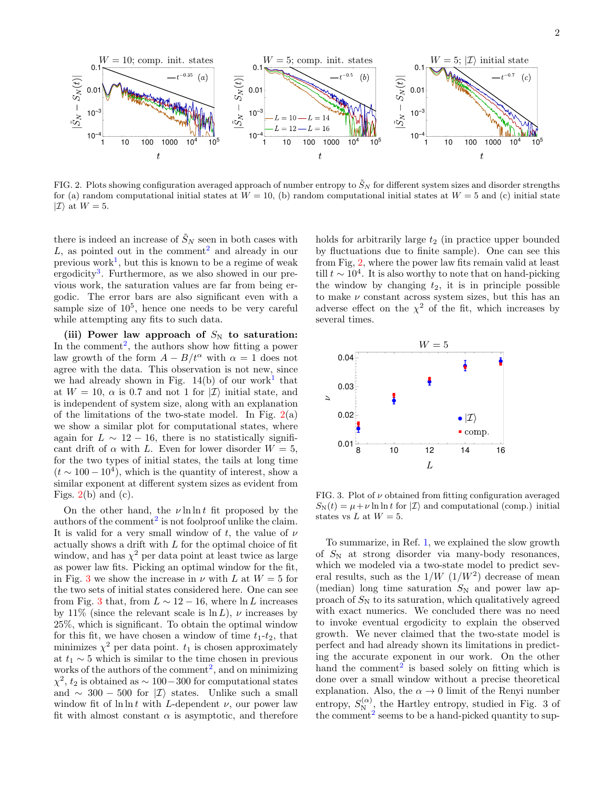

<span id="page-1-0"></span>FIG. 2. Plots showing configuration averaged approach of number entropy to  $\tilde{S}_N$  for different system sizes and disorder strengths for (a) random computational initial states at  $W = 10$ , (b) random computational initial states at  $W = 5$  and (c) initial state  $|\mathcal{I}\rangle$  at  $W=5$ .

there is indeed an increase of  $\tilde{S}_N$  seen in both cases with L, as pointed out in the comment<sup>[2](#page-2-1)</sup> and already in our previous work<sup>[1](#page-2-0)</sup>, but this is known to be a regime of weak ergodicity<sup>[3](#page-2-2)</sup>. Furthermore, as we also showed in our previous work, the saturation values are far from being ergodic. The error bars are also significant even with a sample size of  $10^5$ , hence one needs to be very careful while attempting any fits to such data.

(iii) Power law approach of  $S_N$  to saturation: In the comment<sup>[2](#page-2-1)</sup>, the authors show how fitting a power law growth of the form  $A - B/t^{\alpha}$  with  $\alpha = 1$  does not agree with the data. This observation is not new, since we had already shown in Fig.  $14(b)$  $14(b)$  of our work<sup>1</sup> that at  $W = 10$ ,  $\alpha$  is 0.7 and not 1 for  $|\mathcal{I}\rangle$  initial state, and is independent of system size, along with an explanation of the limitations of the two-state model. In Fig.  $2(a)$  $2(a)$ we show a similar plot for computational states, where again for  $L \sim 12 - 16$ , there is no statistically significant drift of  $\alpha$  with L. Even for lower disorder  $W = 5$ , for the two types of initial states, the tails at long time  $(t \sim 100-10^4)$ , which is the quantity of interest, show a similar exponent at different system sizes as evident from Figs.  $2(b)$  $2(b)$  and (c).

On the other hand, the  $\nu \ln \ln t$  fit proposed by the authors of the comment<sup>[2](#page-2-1)</sup> is not foolproof unlike the claim. It is valid for a very small window of t, the value of  $\nu$ actually shows a drift with L for the optimal choice of fit window, and has  $\chi^2$  per data point at least twice as large as power law fits. Picking an optimal window for the fit, in Fig. [3](#page-1-1) we show the increase in  $\nu$  with L at  $W = 5$  for the two sets of initial states considered here. One can see from Fig. [3](#page-1-1) that, from  $L \sim 12 - 16$ , where ln L increases by 11% (since the relevant scale is  $\ln L$ ),  $\nu$  increases by 25%, which is significant. To obtain the optimal window for this fit, we have chosen a window of time  $t_1-t_2$ , that minimizes  $\chi^2$  per data point.  $t_1$  is chosen approximately at  $t_1 \sim 5$  which is similar to the time chosen in previous works of the authors of the comment<sup>[2](#page-2-1)</sup>, and on minimizing  $\chi^2$ ,  $t_2$  is obtained as ~ 100 – 300 for computational states and  $\sim$  300 − 500 for  $|I\rangle$  states. Unlike such a small window fit of  $\ln \ln t$  with *L*-dependent  $\nu$ , our power law fit with almost constant  $\alpha$  is asymptotic, and therefore holds for arbitrarily large  $t_2$  (in practice upper bounded by fluctuations due to finite sample). One can see this from Fig, [2,](#page-1-0) where the power law fits remain valid at least till  $t \sim 10^4$ . It is also worthy to note that on hand-picking the window by changing  $t_2$ , it is in principle possible to make  $\nu$  constant across system sizes, but this has an adverse effect on the  $\chi^2$  of the fit, which increases by several times.



<span id="page-1-1"></span>FIG. 3. Plot of  $\nu$  obtained from fitting configuration averaged  $S_{\rm N}(t) = \mu + \nu \ln \ln t$  for  $|\mathcal{I}\rangle$  and computational (comp.) initial states vs  $L$  at  $W=5$ .

To summarize, in Ref. [1,](#page-2-0) we explained the slow growth of  $S_N$  at strong disorder via many-body resonances, which we modeled via a two-state model to predict several results, such as the  $1/W (1/W^2)$  decrease of mean (median) long time saturation  $S_N$  and power law approach of  $S_N$  to its saturation, which qualitatively agreed with exact numerics. We concluded there was no need to invoke eventual ergodicity to explain the observed growth. We never claimed that the two-state model is perfect and had already shown its limitations in predicting the accurate exponent in our work. On the other hand the comment<sup>[2](#page-2-1)</sup> is based solely on fitting which is done over a small window without a precise theoretical explanation. Also, the  $\alpha \rightarrow 0$  limit of the Renyi number entropy,  $S_{\text{N}_{\text{Q}}}^{(\alpha)}$ , the Hartley entropy, studied in Fig. 3 of the comment<sup>[2](#page-2-1)</sup> seems to be a hand-picked quantity to sup